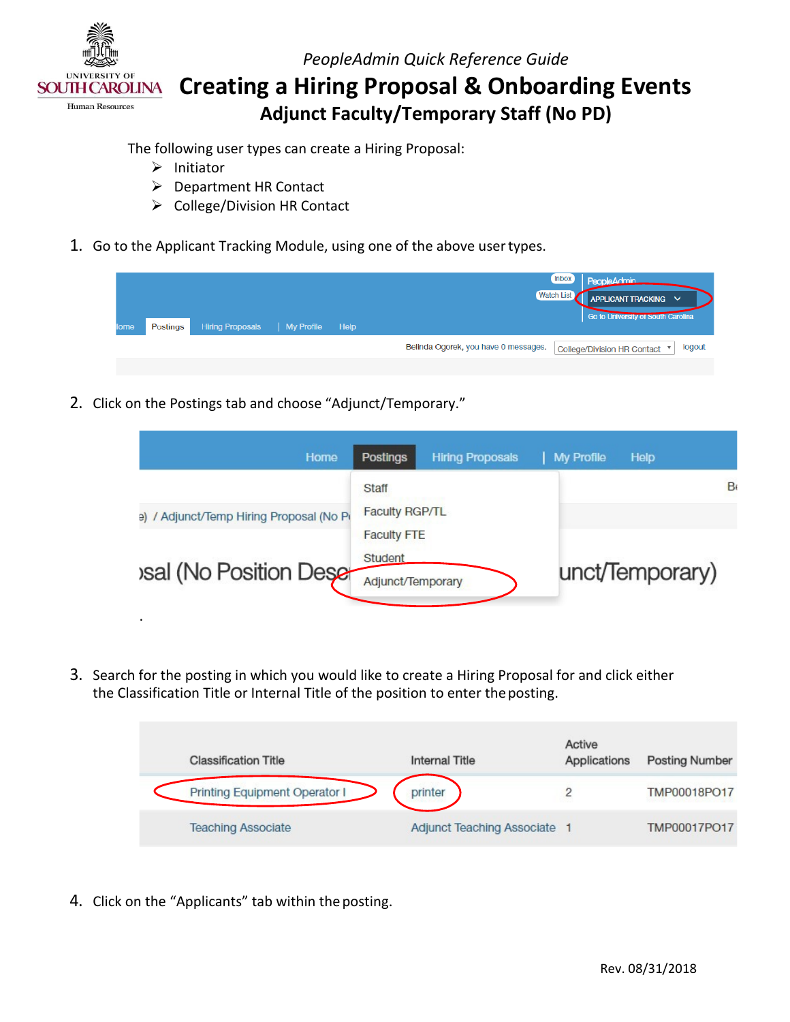

 **Creating a Hiring Proposal & Onboarding Events Adjunct Faculty/Temporary Staff (No PD)** 

The following user types can create a Hiring Proposal:

 $\triangleright$  Initiator

.

- Department HR Contact
- ▶ College/Division HR Contact
- 1. Go to the Applicant Tracking Module, using one of the above user types.

| lome | Postings | <b>Hiring Proposals</b> | My Profile | Help | <b>Inbox</b><br>PeopleAdmin<br>Watch List<br>APPLICANT TRACKING V<br>Go to University or South Carolina |
|------|----------|-------------------------|------------|------|---------------------------------------------------------------------------------------------------------|
|      |          |                         |            |      | Belinda Ogorek, you have 0 messages.<br>logout<br>College/Division HR Contact ▼                         |
|      |          |                         |            |      |                                                                                                         |

2. Click on the Postings tab and choose "Adjunct/Temporary."

| Home                                     | <b>Postings</b><br><b>Hiring Proposals</b>         | My Profile<br><b>Help</b> |
|------------------------------------------|----------------------------------------------------|---------------------------|
| e) / Adjunct/Temp Hiring Proposal (No Pi | Staff<br><b>Faculty RGP/TL</b>                     | B                         |
| <b>Sal (No Position Dese-</b>            | <b>Faculty FTE</b><br>Student<br>Adjunct/Temporary | unct/Temporary)           |

 the Classification Title or Internal Title of the position to enter the posting. 3. Search for the posting in which you would like to create a Hiring Proposal for and click either

| <b>Classification Title</b>   | Internal Title                      | Active<br>Applications | <b>Posting Number</b> |
|-------------------------------|-------------------------------------|------------------------|-----------------------|
| Printing Equipment Operator I | printer                             |                        | TMP00018PO17          |
| <b>Teaching Associate</b>     | <b>Adjunct Teaching Associate 1</b> |                        | TMP00017PO17          |

4. Click on the "Applicants" tab within the posting.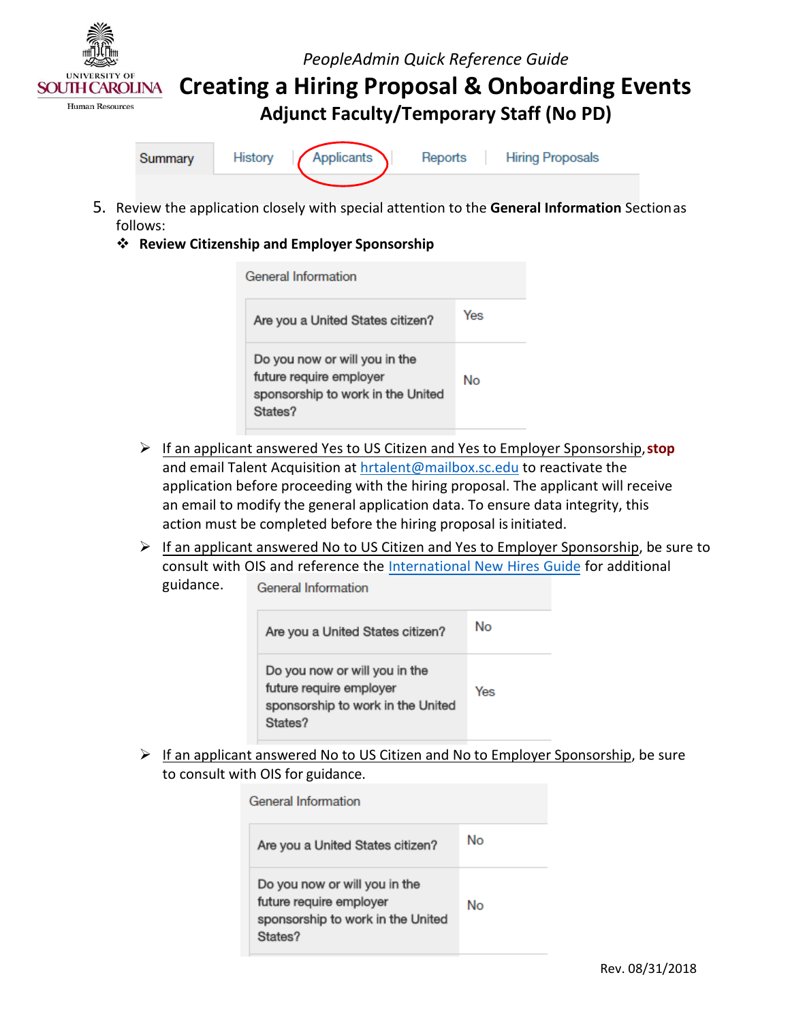

**Creating a Hiring Proposal & Onboarding Events** 

**Adjunct Faculty/Temporary Staff (No PD)** 



- 5. Review the application closely with special attention to the **General Information** Sectionas follows:
	- **Review Citizenship and Employer Sponsorship**

| General Information                                                                                      |     |  |  |
|----------------------------------------------------------------------------------------------------------|-----|--|--|
| Are you a United States citizen?                                                                         | Yes |  |  |
| Do you now or will you in the<br>future require employer<br>sponsorship to work in the United<br>States? | Nο  |  |  |

- If an applicant answered Yes to US Citizen and Yes to Employer Sponsorship,**stop** and email Talent Acquisition at **hrtalent@mailbox.sc.edu** to reactivate the application before proceeding with the hiring proposal. The applicant will receive an email to modify the general application data. To ensure data integrity, this action must be completed before the hiring proposal is initiated.
- $\triangleright$  If an applicant answered No to US Citizen and Yes to Employer Sponsorship, be sure to consult with OIS and reference th[e International New Hires Guide f](http://www.sc.edu/about/offices_and_divisions/human_resources/docs/pa_international_new_hires.pdf)or additional guidance. **General Information**

| Are you a United States citizen?                                                                         | No  |
|----------------------------------------------------------------------------------------------------------|-----|
| Do you now or will you in the<br>future require employer<br>sponsorship to work in the United<br>States? | Yes |

 to consult with OIS for guidance.  $\triangleright$  If an applicant answered No to US Citizen and No to Employer Sponsorship, be sure

| <b>General Information</b>                                                                               |    |  |  |
|----------------------------------------------------------------------------------------------------------|----|--|--|
| Are you a United States citizen?                                                                         | Nο |  |  |
| Do you now or will you in the<br>future require employer<br>sponsorship to work in the United<br>States? | No |  |  |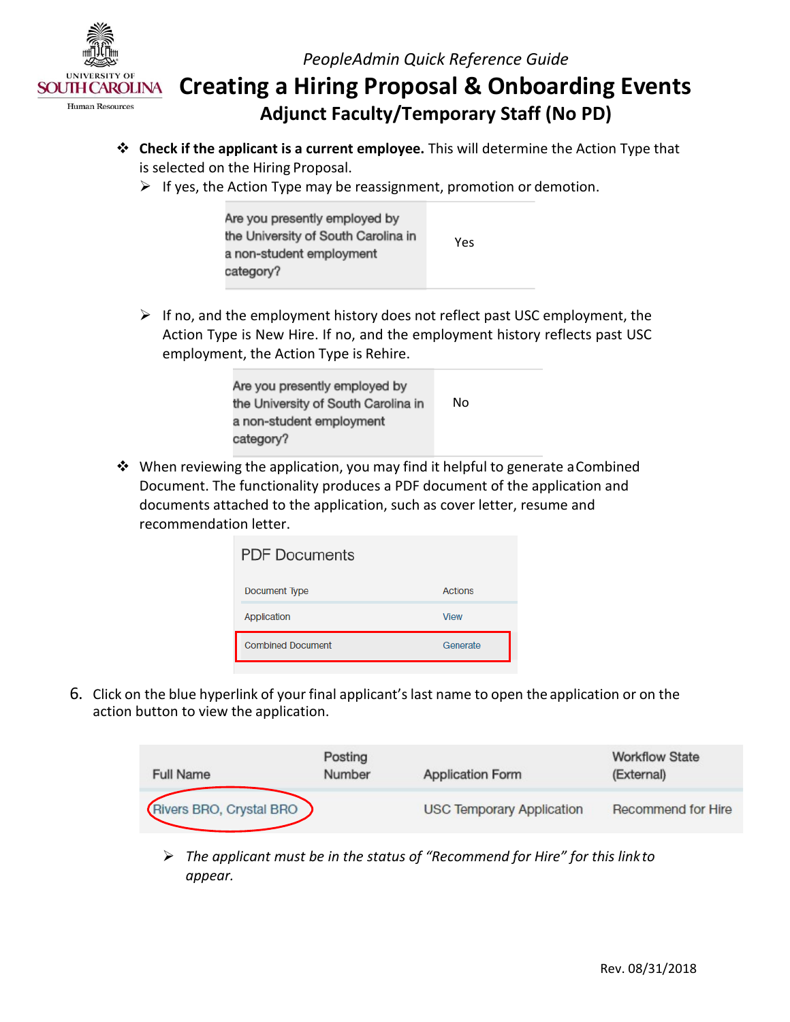

 **Creating a Hiring Proposal & Onboarding Events Adjunct Faculty/Temporary Staff (No PD)** 

- is selected on the Hiring Proposal. **Check if the applicant is a current employee.** This will determine the Action Type that
	- $\triangleright$  If yes, the Action Type may be reassignment, promotion or demotion.

| Are you presently employed by<br>the University of South Carolina in | Yes |
|----------------------------------------------------------------------|-----|
| a non-student employment<br>category?                                |     |

 $\triangleright$  If no, and the employment history does not reflect past USC employment, the employment, the Action Type is Rehire. Action Type is New Hire. If no, and the employment history reflects past USC

| Are you presently employed by<br>the University of South Carolina in | No |
|----------------------------------------------------------------------|----|
| a non-student employment                                             |    |
| category?                                                            |    |

 When reviewing the application, you may find it helpful to generate aCombined documents attached to the application, such as cover letter, resume and recommendation letter. Document. The functionality produces a PDF document of the application and

| <b>PDF Documents</b>     |             |  |  |
|--------------------------|-------------|--|--|
| Document Type            | Actions     |  |  |
| Application              | <b>View</b> |  |  |
| <b>Combined Document</b> | Generate    |  |  |

 6. Click on the blue hyperlink of your final applicant's last name to open the application or on the action button to view the application.

| <b>Full Name</b>        | Posting<br>Number | <b>Application Form</b>          | <b>Workflow State</b><br>(External) |
|-------------------------|-------------------|----------------------------------|-------------------------------------|
| Rivers BRO, Crystal BRO |                   | <b>USC Temporary Application</b> | Recommend for Hire                  |

 *The applicant must be in the status of "Recommend for Hire" for this link to appear.*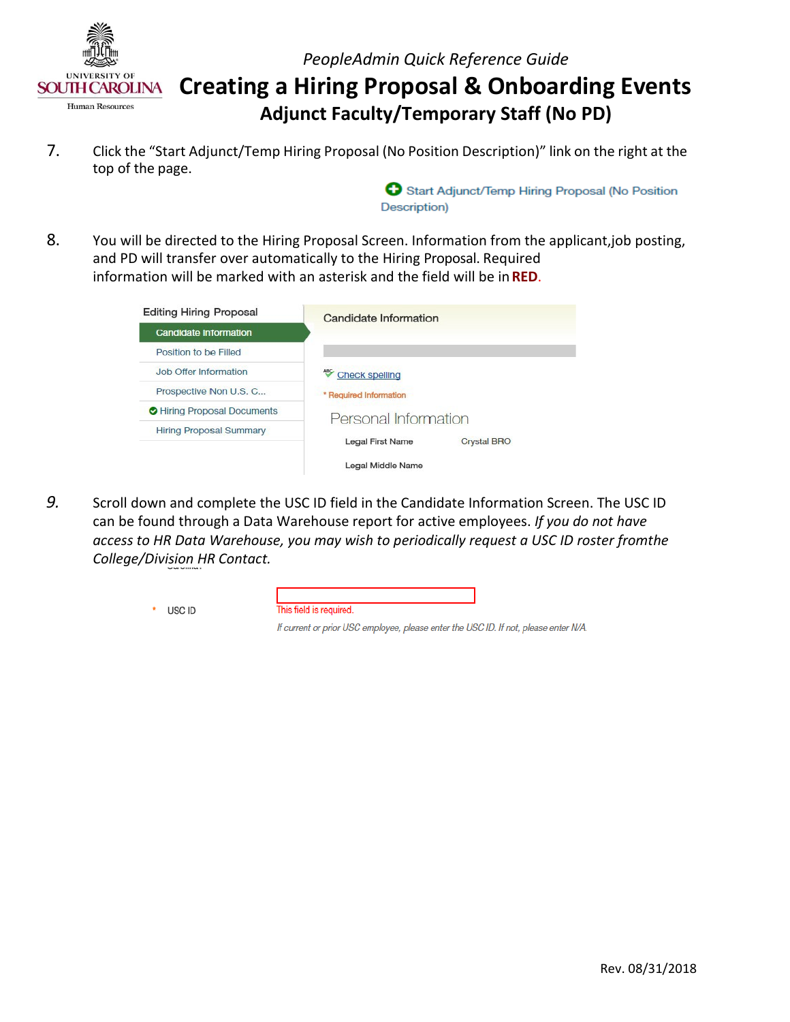

 **Creating a Hiring Proposal & Onboarding Events Adjunct Faculty/Temporary Staff (No PD)** 

7. Click the "Start Adjunct/Temp Hiring Proposal (No Position Description)" link on the right at the top of the page.

> Start Adjunct/Temp Hiring Proposal (No Position Description)

 information will be marked with an asterisk and the field will be in **RED**. 8. You will be directed to the Hiring Proposal Screen. Information from the applicant,job posting, and PD will transfer over automatically to the Hiring Proposal. Required

| <b>Editing Hiring Proposal</b> | Candidate Information                         |  |
|--------------------------------|-----------------------------------------------|--|
| Candidate Information          |                                               |  |
| Position to be Filled          |                                               |  |
| Job Offer Information          | <b>Check spelling</b>                         |  |
| Prospective Non U.S. C         | * Required Information                        |  |
| Hiring Proposal Documents      | Personal Information                          |  |
| <b>Hiring Proposal Summary</b> |                                               |  |
|                                | <b>Legal First Name</b><br><b>Crystal BRO</b> |  |
|                                | Legal Middle Name                             |  |

*9.* Scroll down and complete the USC ID field in the Candidate Information Screen. The USC ID can be found through a Data Warehouse report for active employees. *If you do not have access to HR Data Warehouse, you may wish to periodically request a USC ID roster fromthe College/Division HR Contact.*

| USC ID | This field is required.                                                              |  |
|--------|--------------------------------------------------------------------------------------|--|
|        | If current or prior USC employee, please enter the USC ID. If not, please enter N/A. |  |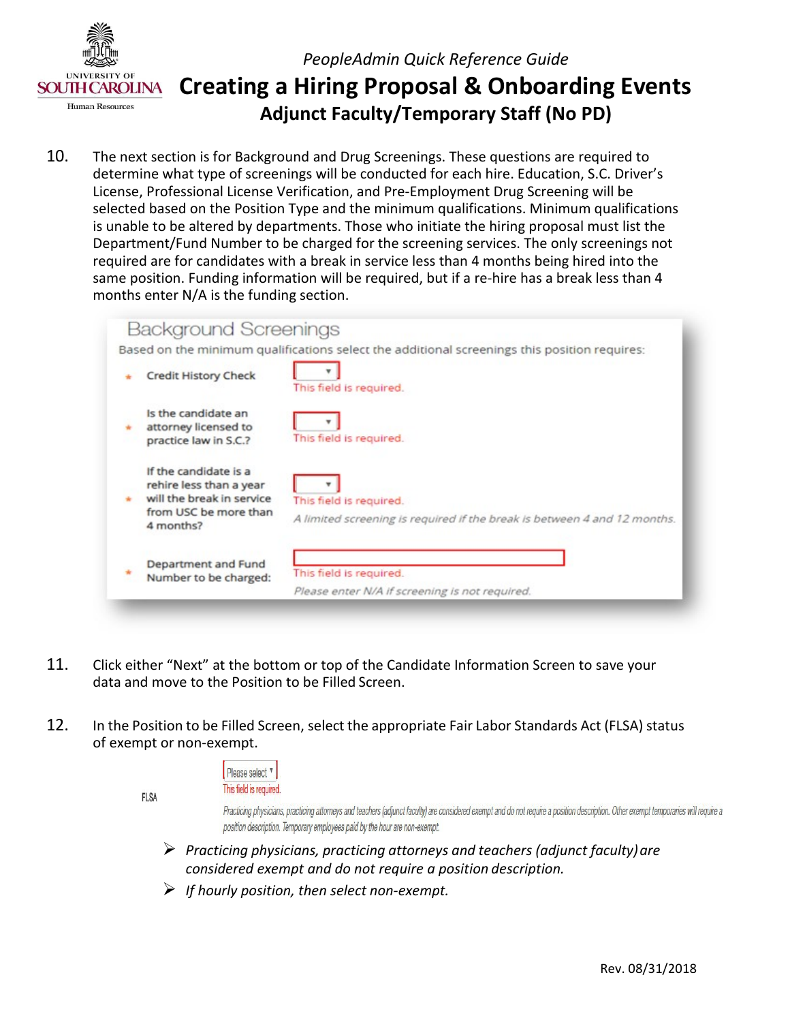

## **Creating a Hiring Proposal & Onboarding Events Adjunct Faculty/Temporary Staff (No PD)**  *PeopleAdmin Quick Reference Guide*

 determine what type of screenings will be conducted for each hire. Education, S.C. Driver's License, Professional License Verification, and Pre-Employment Drug Screening will be is unable to be altered by departments. Those who initiate the hiring proposal must list the same position. Funding information will be required, but if a re-hire has a break less than 4 months enter N/A is the funding section. 10. The next section is for Background and Drug Screenings. These questions are required to selected based on the Position Type and the minimum qualifications. Minimum qualifications Department/Fund Number to be charged for the screening services. The only screenings not required are for candidates with a break in service less than 4 months being hired into the

| <b>Background Screenings</b>                                                                                        |                                                                                                     |
|---------------------------------------------------------------------------------------------------------------------|-----------------------------------------------------------------------------------------------------|
|                                                                                                                     | Based on the minimum qualifications select the additional screenings this position requires:        |
| <b>Credit History Check</b>                                                                                         | This field is required.                                                                             |
| Is the candidate an<br>attorney licensed to<br>practice law in S.C.?                                                | This field is required.                                                                             |
| If the candidate is a<br>rehire less than a year<br>will the break in service<br>from USC be more than<br>4 months? | This field is required.<br>A limited screening is required if the break is between 4 and 12 months. |
| Department and Fund<br>Number to be charged:                                                                        | This field is required.<br>Please enter N/A if screening is not required.                           |

- 11. Click either "Next" at the bottom or top of the Candidate Information Screen to save your data and move to the Position to be Filled Screen.
- 12. In the Position to be Filled Screen, select the appropriate Fair Labor Standards Act (FLSA) status of exempt or non-exempt.

|  |  | Please select <sup>v</sup> |  |
|--|--|----------------------------|--|
|  |  | This field is required     |  |

**FLSA** 

Practicing physicians, practicing attorneys and teachers (adjunct faculty) are considered exempt and do not require a position description. Other exempt temporaries will require a position description. Temporary employees paid by the hour are non-exempt.

- *Practicing physicians, practicing attorneys and teachers (adjunct faculty)are considered exempt and do not require a position description.*
- *If hourly position, then select non-exempt.*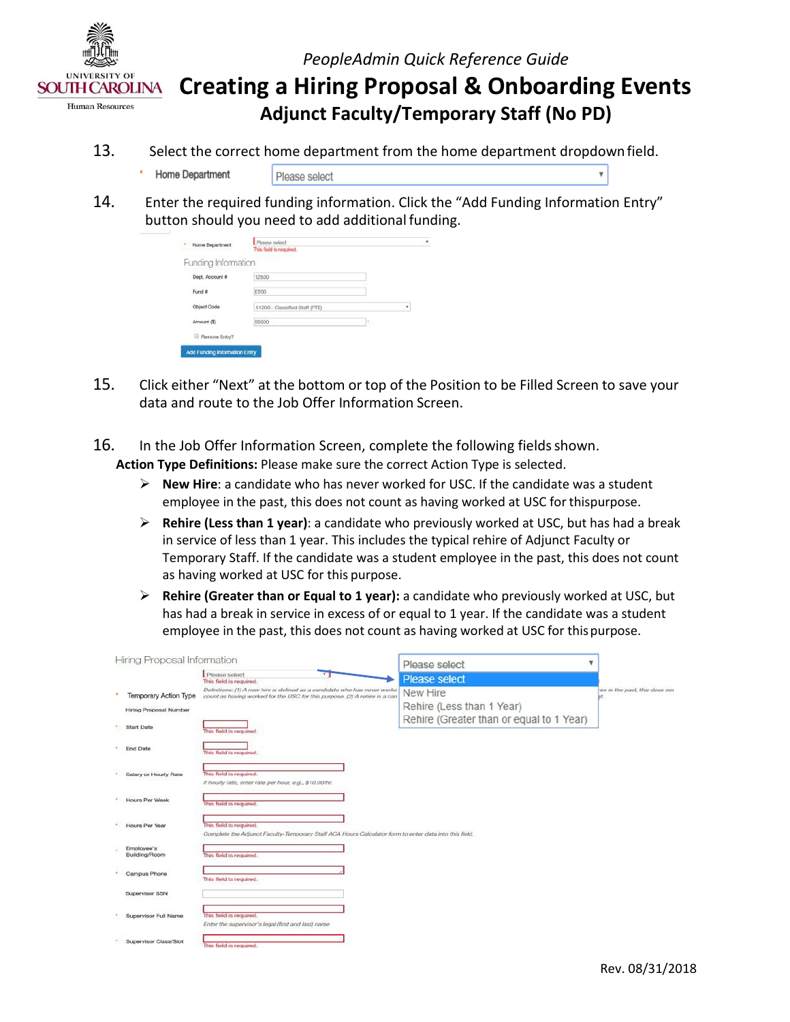

 **Creating a Hiring Proposal & Onboarding Events Adjunct Faculty/Temporary Staff (No PD)** 

- 13. Select the correct home department from the home department dropdown field.
	- Home Department Please select
- 14. Enter the required funding information. Click the "Add Funding Information Entry" button should you need to add additional funding.

| Home Department               | This field is required.        |    |   |
|-------------------------------|--------------------------------|----|---|
| Funding Information           |                                |    |   |
| Dept. Account #               | 12500                          |    |   |
| Fund #                        | E200                           |    |   |
| Object Code                   | 51200 - Classified Staff (FTE) |    | ٠ |
| Amount (\$)                   | 55000                          | 10 |   |
| Remove Entry?<br>Θ            |                                |    |   |
| Add Funding Information Entry |                                |    |   |

- 15. Click either "Next" at the bottom or top of the Position to be Filled Screen to save your data and route to the Job Offer Information Screen.
- 16. In the Job Offer Information Screen, complete the following fields shown. **Action Type Definitions:** Please make sure the correct Action Type is selected.
	- **New Hire**: a candidate who has never worked for USC. If the candidate was a student employee in the past, this does not count as having worked at USC for thispurpose.
	- **Rehire (Less than 1 year)**: a candidate who previously worked at USC, but has had a break in service of less than 1 year. This includes the typical rehire of Adjunct Faculty or as having worked at USC for this purpose. Temporary Staff. If the candidate was a student employee in the past, this does not count
	- employee in the past, this does not count as having worked at USC for this purpose. **Rehire (Greater than or Equal to 1 year):** a candidate who previously worked at USC, but has had a break in service in excess of or equal to 1 year. If the candidate was a student

| Hiring Proposal Information   |                                                                                                                                                          | Please select                            | v                             |
|-------------------------------|----------------------------------------------------------------------------------------------------------------------------------------------------------|------------------------------------------|-------------------------------|
|                               | Please select<br>$\mathbf{r}$<br>This field is required.                                                                                                 | <b>Please select</b>                     |                               |
| <b>Temporary Action Type</b>  | Definitions: (1) A new hire is defined as a candidate who has never worker<br>count as having worked for the USC for this purpose. (2) A rehire is a can | <b>New Hire</b>                          | we in the past, this does not |
| <b>Hiring Proposal Number</b> |                                                                                                                                                          | Rehire (Less than 1 Year)                |                               |
| Start Date                    | This field is required.                                                                                                                                  | Rehire (Greater than or equal to 1 Year) |                               |
| End Date                      | This field is required.                                                                                                                                  |                                          |                               |
| Salary or Hourly Rate         | This field is required.<br>If hourly rate, enter rate per hour, e.g., \$10.00/hr.                                                                        |                                          |                               |
| Hours Per Week                | This field is required.                                                                                                                                  |                                          |                               |
| <b>Hours Per Year</b>         | This field is required.<br>Complete the Adjunct Faculty-Temporary Staff ACA Hours Calculator form to enter data into this field.                         |                                          |                               |
| Employee's<br>Building/Room   | This field is required.                                                                                                                                  |                                          |                               |
| Campus Phone                  | This field is required.                                                                                                                                  |                                          |                               |
| Supervisor SSN                |                                                                                                                                                          |                                          |                               |
| Supervisor Full Name          | This field is required.<br>Enter the supervisor's legal (first and last) name                                                                            |                                          |                               |
| Supervisor Class/Slot         | This field is required.                                                                                                                                  |                                          |                               |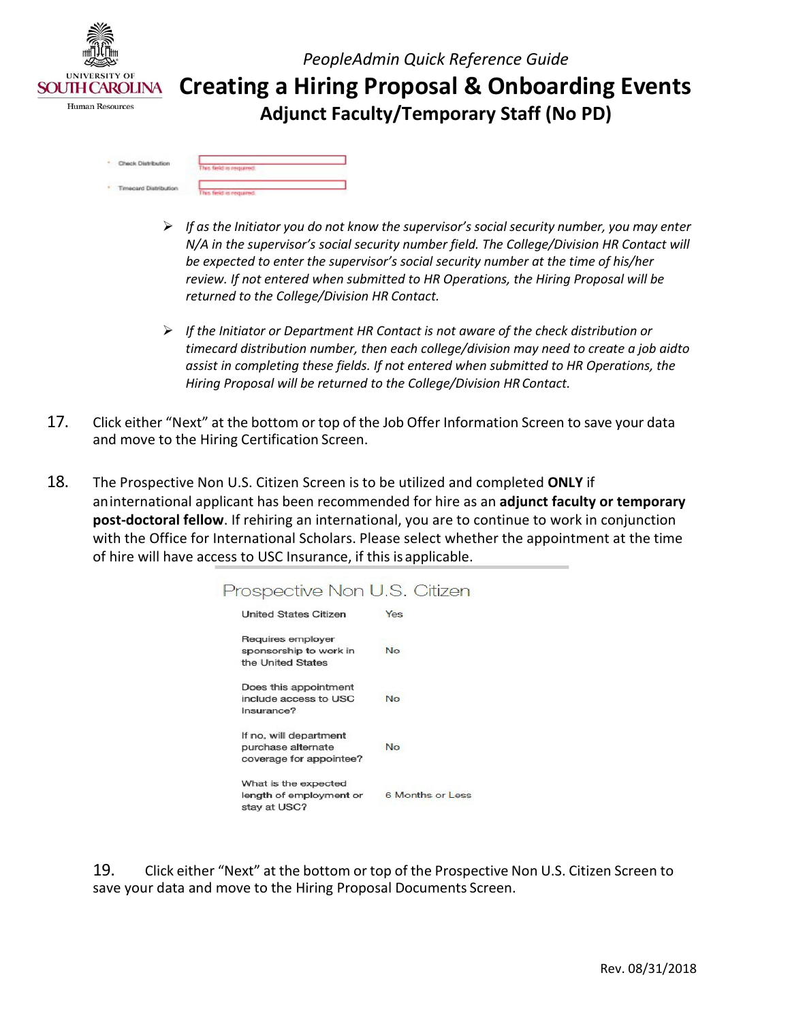

 **Creating a Hiring Proposal & Onboarding Events Adjunct Faculty/Temporary Staff (No PD)** 

| Check Distribution<br>۰   |                    |
|---------------------------|--------------------|
| --------                  | field is required. |
| request Distribution<br>٠ |                    |

- *If as the Initiator you do not know the supervisor's social security number, you may enter review. If not entered when submitted to HR Operations, the Hiring Proposal will be returned to the College/Division HR Contact. N/A in the supervisor's social security number field. The College/Division HR Contact will be expected to enter the supervisor's social security number at the time of his/her*
- *Hiring Proposal will be returned to the College/Division HR Contact. If the Initiator or Department HR Contact is not aware of the check distribution or timecard distribution number, then each college/division may need to create a job aidto assist in completing these fields. If not entered when submitted to HR Operations, the*
- 17. Click either "Next" at the bottom or top of the Job Offer Information Screen to save your data and move to the Hiring Certification Screen.
- 18. The Prospective Non U.S. Citizen Screen is to be utilized and completed **ONLY** if aninternational applicant has been recommended for hire as an **adjunct faculty or temporary post-doctoral fellow**. If rehiring an international, you are to continue to work in conjunction with the Office for International Scholars. Please select whether the appointment at the time of hire will have access to USC Insurance, if this is applicable.

| Prospective Non U.S. Citizen                                            |                  |
|-------------------------------------------------------------------------|------------------|
| <b>United States Citizen</b>                                            | Yes              |
| Requires employer<br>sponsorship to work in<br>the United States        | <b>No</b>        |
| Does this appointment<br>include access to USC<br>Insurance?            | <b>No</b>        |
| If no, will department<br>purchase alternate<br>coverage for appointee? | No.              |
| What is the expected<br>length of employment or<br>stay at USC?         | 6 Months or Less |

 19. Click either "Next" at the bottom or top of the Prospective Non U.S. Citizen Screen to save your data and move to the Hiring Proposal Documents Screen.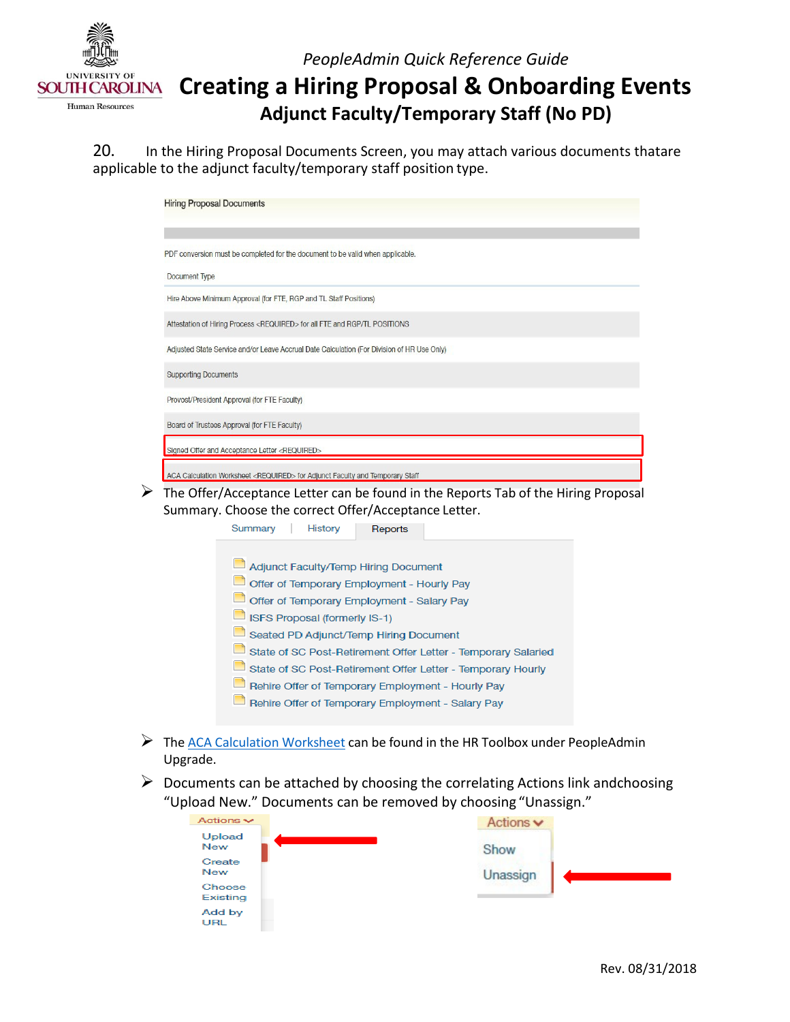

## **Creating a Hiring Proposal & Onboarding Events Adjunct Faculty/Temporary Staff (No PD)**

20. In the Hiring Proposal Documents Screen, you may attach various documents thatare applicable to the adjunct faculty/temporary staff position type.

|                                                                                            | <b>Hiring Proposal Documents</b>                                                                                                           |  |  |  |  |
|--------------------------------------------------------------------------------------------|--------------------------------------------------------------------------------------------------------------------------------------------|--|--|--|--|
|                                                                                            | PDF conversion must be completed for the document to be valid when applicable.                                                             |  |  |  |  |
| <b>Document Type</b>                                                                       |                                                                                                                                            |  |  |  |  |
|                                                                                            | Hire Above Minimum Approval (for FTE, RGP and TL Staff Positions)                                                                          |  |  |  |  |
|                                                                                            | Attestation of Hiring Process <required> for all FTE and RGP/TL POSITIONS</required>                                                       |  |  |  |  |
| Adjusted State Service and/or Leave Accrual Date Calculation (For Division of HR Use Only) |                                                                                                                                            |  |  |  |  |
|                                                                                            | <b>Supporting Documents</b>                                                                                                                |  |  |  |  |
|                                                                                            | Provost/President Approval (for FTE Faculty)                                                                                               |  |  |  |  |
|                                                                                            | Board of Trustees Approval (for FTE Faculty)                                                                                               |  |  |  |  |
|                                                                                            | Signed Offer and Acceptance Letter <required></required>                                                                                   |  |  |  |  |
|                                                                                            | ACA Calculation Worksheet <required> for Adjunct Faculty and Temporary Staff</required>                                                    |  |  |  |  |
|                                                                                            | The Offer/Acceptance Letter can be found in the Reports Tab of the Hiring Proposal<br>Summary. Choose the correct Offer/Acceptance Letter. |  |  |  |  |
|                                                                                            | Summary<br>History<br>Reports                                                                                                              |  |  |  |  |

- Adjunct Faculty/Temp Hiring Document Offer of Temporary Employment - Hourly Pay Offer of Temporary Employment - Salary Pay ISFS Proposal (formerly IS-1) Seated PD Adjunct/Temp Hiring Document State of SC Post-Retirement Offer Letter - Temporary Salaried State of SC Post-Retirement Offer Letter - Temporary Hourly Rehire Offer of Temporary Employment - Hourly Pay Rehire Offer of Temporary Employment - Salary Pay
- ▶ Th[e ACA Calculation Worksheet c](http://www.sc.edu/about/offices_and_divisions/human_resources/docs/pa_aca_calculation_worksheet.pdf)an be found in the HR Toolbox under PeopleAdmin Upgrade.
- "Upload New." Documents can be removed by choosing "Unassign."  $\triangleright$  Documents can be attached by choosing the correlating Actions link andchoosing

| Actions $\sim$       | Actions $\blacktriangleright$ |
|----------------------|-------------------------------|
| Upload<br><b>New</b> | Show                          |
| Create<br><b>New</b> | Unassign                      |
| Choose<br>Existing   |                               |
| Add by<br>URL        |                               |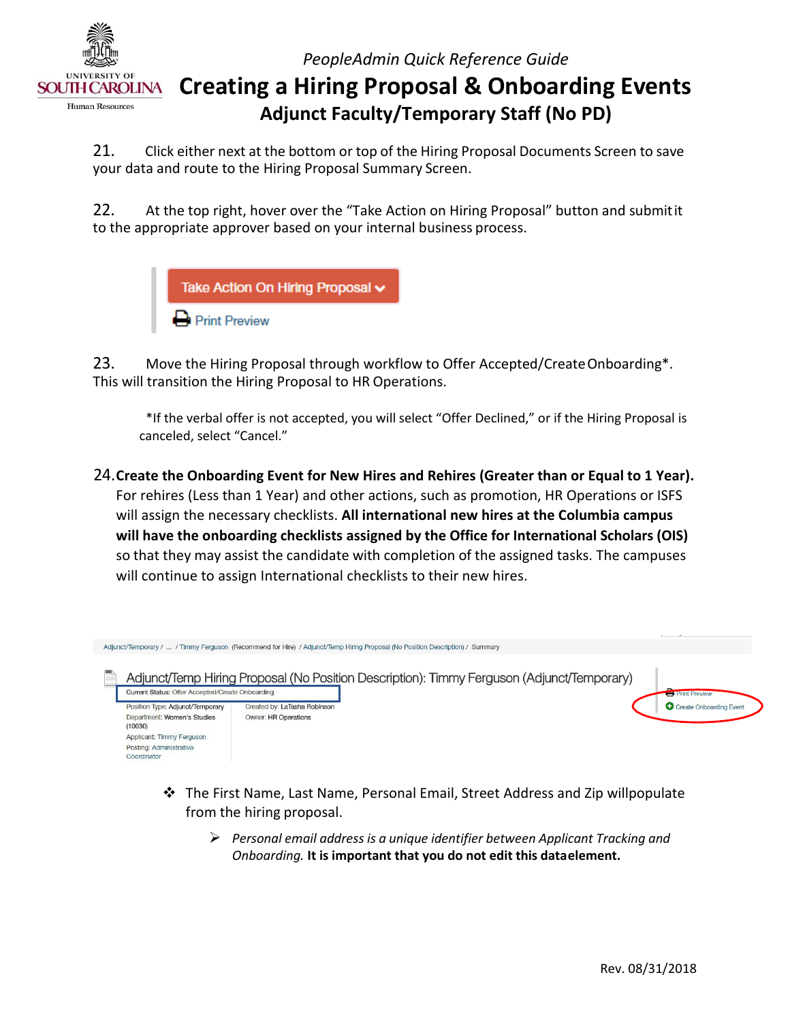

## **Creating a Hiring Proposal & Onboarding Events Adjunct Faculty/Temporary Staff (No PD)**

21. Click either next at the bottom or top of the Hiring Proposal Documents Screen to save your data and route to the Hiring Proposal Summary Screen.

22. At the top right, hover over the "Take Action on Hiring Proposal" button and submitit to the appropriate approver based on your internal business process.



23. Move the Hiring Proposal through workflow to Offer Accepted/Create Onboarding\*. This will transition the Hiring Proposal to HR Operations.

\*If the verbal offer is not accepted, you will select "Offer Declined," or if the Hiring Proposal is canceled, select "Cancel."

 For rehires (Less than 1 Year) and other actions, such as promotion, HR Operations or ISFS  so that they may assist the candidate with completion of the assigned tasks. The campuses 24.**Create the Onboarding Event for New Hires and Rehires (Greater than or Equal to 1 Year).** will assign the necessary checklists. **All international new hires at the Columbia campus will have the onboarding checklists assigned by the Office for International Scholars (OIS)**  will continue to assign International checklists to their new hires.



- from the hiring proposal.  $\clubsuit$  The First Name, Last Name, Personal Email, Street Address and Zip willpopulate
	- *Personal email address is a unique identifier between Applicant Tracking and*  *Onboarding.* **It is important that you do not edit this dataelement.**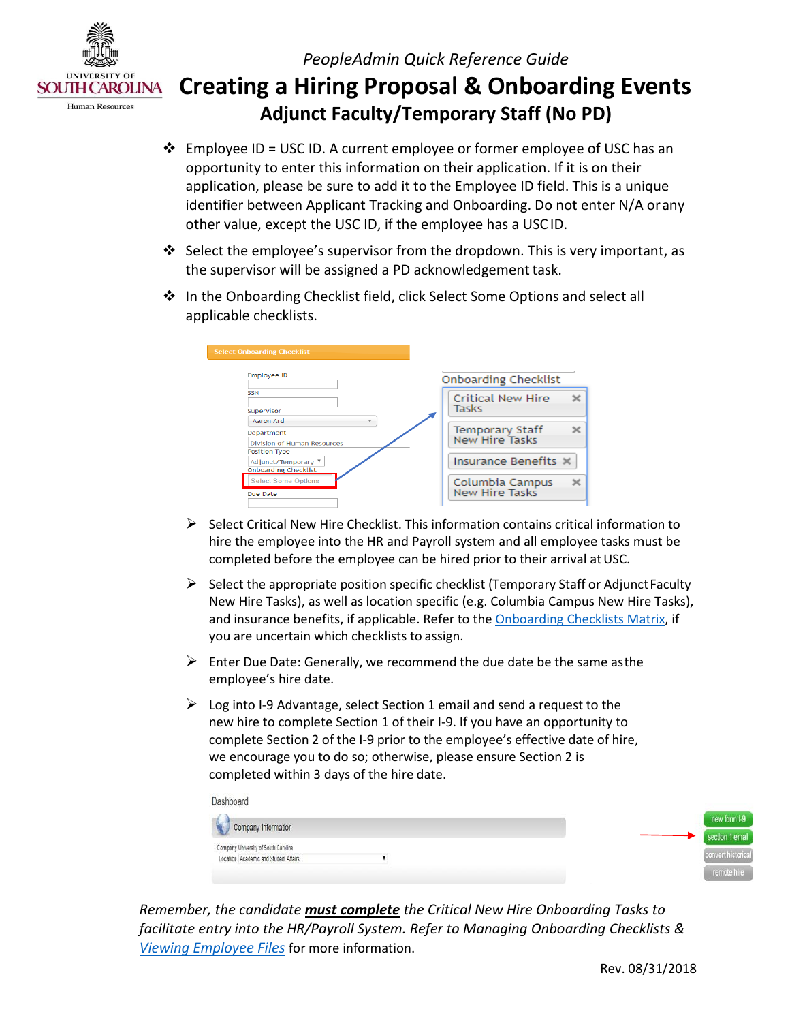

 **Creating a Hiring Proposal & Onboarding Events Adjunct Faculty/Temporary Staff (No PD)** 

- Employee ID = USC ID. A current employee or former employee of USC has an identifier between Applicant Tracking and Onboarding. Do not enter N/A orany other value, except the USC ID, if the employee has a USC ID. opportunity to enter this information on their application. If it is on their application, please be sure to add it to the Employee ID field. This is a unique
- the supervisor will be assigned a PD acknowledgement task. Select the employee's supervisor from the dropdown. This is very important, as
- applicable checklists. In the Onboarding Checklist field, click Select Some Options and select all

| <b>Select Onboarding Checklist</b>                                       |                                          |
|--------------------------------------------------------------------------|------------------------------------------|
| <b>Employee ID</b>                                                       | <b>Onboarding Checklist</b>              |
| <b>SSN</b><br>Supervisor                                                 | <b>Critical New Hire</b><br>Tasks        |
| Aaron Ard<br>÷<br>Department<br>Division of Human Resources              | Temporary Staff<br><b>New Hire Tasks</b> |
| <b>Position Type</b><br>Adjunct/Temporary<br><b>Onboarding Checklist</b> | Insurance Benefits X                     |
| <b>Select Some Options</b><br>Due Date                                   | Columbia Campus<br>New Hire Tasks        |

- $\triangleright$  Select Critical New Hire Checklist. This information contains critical information to hire the employee into the HR and Payroll system and all employee tasks must be completed before the employee can be hired prior to their arrival at USC.
- $\triangleright$  Select the appropriate position specific checklist (Temporary Staff or Adjunct Faculty New Hire Tasks), as well as location specific (e.g. Columbia Campus New Hire Tasks), you are uncertain which checklists to assign. and insurance benefits, if applicable. Refer to the [Onboarding Checklists Matrix, i](http://www.sc.edu/about/offices_and_divisions/human_resources/docs/pa_onboarding_checklists_matrix.pdf)f
- employee's hire date.  $\triangleright$  Enter Due Date: Generally, we recommend the due date be the same asthe
- complete Section 2 of the I-9 prior to the employee's effective date of hire, completed within 3 days of the hire date.  $\triangleright$  Log into I-9 Advantage, select Section 1 email and send a request to the new hire to complete Section 1 of their I-9. If you have an opportunity to we encourage you to do so; otherwise, please ensure Section 2 is

| Dashboard                             |  |                    |
|---------------------------------------|--|--------------------|
| Company Information                   |  | new form 1-9       |
|                                       |  | section 1 email    |
| Company University of South Carolina  |  |                    |
| Location Academic and Student Affairs |  | convert historical |
|                                       |  | remote hire        |

*Remember, the candidate must complete the Critical New Hire Onboarding Tasks to facilitate entry into the HR/Payroll System. Refer to Managing Onboarding Checklists & [Viewing Employee Files](http://www.sc.edu/about/offices_and_divisions/human_resources/docs/pa_managing_onboarding_checklists_viewing_employee_files.pdf)* for more information.